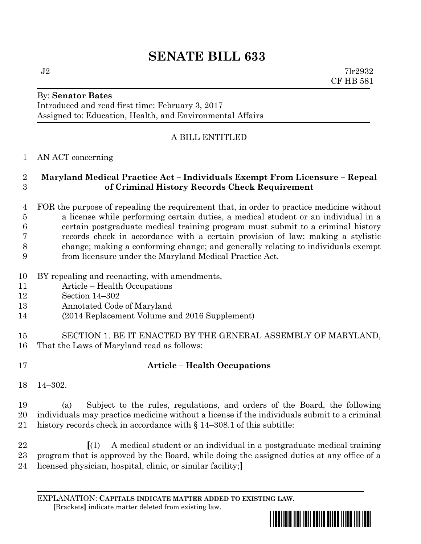# **SENATE BILL 633**

## By: **Senator Bates**

Introduced and read first time: February 3, 2017 Assigned to: Education, Health, and Environmental Affairs

## A BILL ENTITLED

#### AN ACT concerning

#### **Maryland Medical Practice Act – Individuals Exempt From Licensure – Repeal of Criminal History Records Check Requirement**

- FOR the purpose of repealing the requirement that, in order to practice medicine without a license while performing certain duties, a medical student or an individual in a certain postgraduate medical training program must submit to a criminal history records check in accordance with a certain provision of law; making a stylistic change; making a conforming change; and generally relating to individuals exempt from licensure under the Maryland Medical Practice Act.
- BY repealing and reenacting, with amendments,
- Article Health Occupations
- Section 14–302
- Annotated Code of Maryland
- (2014 Replacement Volume and 2016 Supplement)
- SECTION 1. BE IT ENACTED BY THE GENERAL ASSEMBLY OF MARYLAND, That the Laws of Maryland read as follows:
- 

## **Article – Health Occupations**

14–302.

 (a) Subject to the rules, regulations, and orders of the Board, the following individuals may practice medicine without a license if the individuals submit to a criminal history records check in accordance with § 14–308.1 of this subtitle:

 **[**(1) A medical student or an individual in a postgraduate medical training program that is approved by the Board, while doing the assigned duties at any office of a licensed physician, hospital, clinic, or similar facility;**]**

EXPLANATION: **CAPITALS INDICATE MATTER ADDED TO EXISTING LAW**.  **[**Brackets**]** indicate matter deleted from existing law.

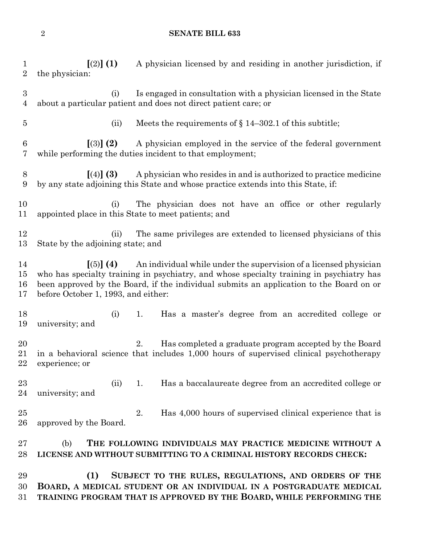#### **SENATE BILL 633**

 **[**(2)**] (1)** A physician licensed by and residing in another jurisdiction, if the physician: (i) Is engaged in consultation with a physician licensed in the State about a particular patient and does not direct patient care; or (ii) Meets the requirements of § 14–302.1 of this subtitle; **[**(3)**] (2)** A physician employed in the service of the federal government while performing the duties incident to that employment; **[**(4)**] (3)** A physician who resides in and is authorized to practice medicine by any state adjoining this State and whose practice extends into this State, if: (i) The physician does not have an office or other regularly appointed place in this State to meet patients; and 12 (ii) The same privileges are extended to licensed physicians of this State by the adjoining state; and **[**(5)**] (4)** An individual while under the supervision of a licensed physician who has specialty training in psychiatry, and whose specialty training in psychiatry has been approved by the Board, if the individual submits an application to the Board on or before October 1, 1993, and either: (i) 1. Has a master's degree from an accredited college or university; and 2. Has completed a graduate program accepted by the Board in a behavioral science that includes 1,000 hours of supervised clinical psychotherapy experience; or 23 (ii) 1. Has a baccalaureate degree from an accredited college or university; and 25 2. Has 4,000 hours of supervised clinical experience that is approved by the Board. (b) **THE FOLLOWING INDIVIDUALS MAY PRACTICE MEDICINE WITHOUT A LICENSE AND WITHOUT SUBMITTING TO A CRIMINAL HISTORY RECORDS CHECK: (1) SUBJECT TO THE RULES, REGULATIONS, AND ORDERS OF THE BOARD, A MEDICAL STUDENT OR AN INDIVIDUAL IN A POSTGRADUATE MEDICAL TRAINING PROGRAM THAT IS APPROVED BY THE BOARD, WHILE PERFORMING THE**